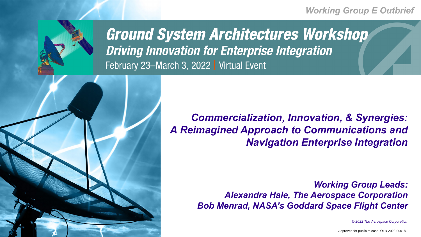

**Ground System Architectures Workshop Driving Innovation for Enterprise Integration** February 23-March 3, 2022 | Virtual Event

*© 2022 The Aerospace Corporation*



## *Working Group E Outbrief*



# *Working Group Leads:*

*Alexandra Hale, The Aerospace Corporation Bob Menrad, NASA's Goddard Space Flight Center* 

Approved for public release. OTR 2022-00618.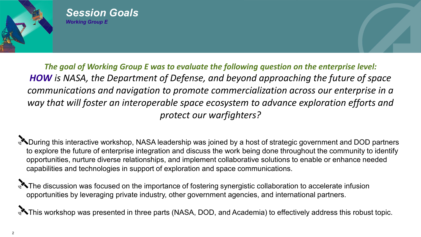

*Session Goals Working Group E* 

*The goal of Working Group E was to evaluate the following question on the enterprise level: HOW is NASA, the Department of Defense, and beyond approaching the future of space communications and navigation to promote commercialization across our enterprise in a way that will foster an interoperable space ecosystem to advance exploration efforts and protect our warfighters?*

**ADuring this interactive workshop, NASA leadership was joined by a host of strategic government and DOD partners** to explore the future of enterprise integration and discuss the work being done throughout the community to identify opportunities, nurture diverse relationships, and implement collaborative solutions to enable or enhance needed capabilities and technologies in support of exploration and space communications.

The discussion was focused on the importance of fostering synergistic collaboration to accelerate infusion opportunities by leveraging private industry, other government agencies, and international partners.

**X** This workshop was presented in three parts (NASA, DOD, and Academia) to effectively address this robust topic.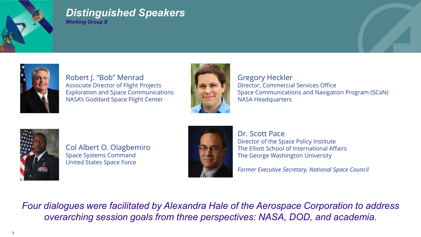



## *Distinguished Speakers Working Group E*



Robert J. "Bob" Menrad Associate Director of Flight Projects Exploration and Space Communications NASA's Goddard Space Flight Center





Col Albert O. Olagbemiro Space Systems Command United States Space Force



Gregory Heckler Director, Commercial Services Office Space Communications and Navigation Program (SCaN) NASA Headquarters

Dr. Scott Pace

Director of the Space Policy Institute The Elliott School of International Affairs The George Washington University

*Former Executive Secretary, National Space Council* 

*Four dialogues were facilitated by Alexandra Hale of the Aerospace Corporation to address overarching session goals from three perspectives: NASA, DOD, and academia.*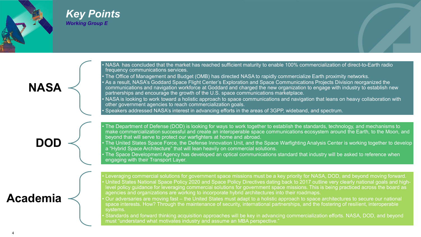## *Key Points Working Group E*



**NASA**

• NASA has concluded that the market has reached sufficient maturity to enable 100% commercialization of direct-to-Earth radio frequency communications services.

• The Office of Management and Budget (OMB) has directed NASA to rapidly commercialize Earth proximity networks. • As a result, NASA's Goddard Space Flight Center's Exploration and Space Communications Projects Division reorganized the communications and navigation workforce at Goddard and charged the new organization to engage with industry to establish new partnerships and encourage the growth of the U.S. space communications marketplace.

• NASA is looking to work toward a holistic approach to space communications and navigation that leans on heavy collaboration with other government agencies to reach commercialization goals.

The United States Space Force, the Defense Innovation Unit, and the Space Warfighting Analysis Center is working together to develop a "Hybrid Space Architecture" that will lean heavily on commercial solutions.

• Speakers addressed NASA's interest in advancing efforts in the areas of 3GPP, wideband, and spectrum.

**DOD**

• The Department of Defense (DOD) is looking for ways to work together to establish the standards, technology, and mechanisms to make commercialization successful and create an interoperable space communications ecosystem around the Earth, to the Moon, and beyond that will serve to protect our warfighters at home and abroad.

• The Space Development Agency has developed an optical communications standard that industry will be asked to reference when engaging with their Transport Layer.

| <b>Academia</b> |  |  |  |
|-----------------|--|--|--|
|                 |  |  |  |

• Leveraging commercial solutions for government space missions must be a key priority for NASA, DOD, and beyond moving forward. • United States National Space Policy 2020 and Space Policy Directives dating back to 2017 outline very clearly national goals and highlevel policy guidance for leveraging commercial solutions for government space missions. This is being practiced across the board as agencies and organizations are working to incorporate hybrid architectures into their roadmaps.

• Our adversaries are moving fast – the United States must adapt to a holistic approach to space architectures to secure our national space interests. How? Through the maintenance of security, international partnerships, and the fostering of resilient, interoperable systems.

• Standards and forward thinking acquisition approaches will be key in advancing commercialization efforts. NASA, DOD, and beyond must "understand what motivates industry and assume an MBA perspective."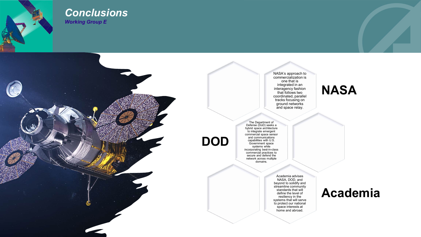

## *Conclusions Working Group E*

NASA's approach to commercialization is one that is integrated in an interagency fashion that follows two coordinated, parallel tracks focusing on ground networks and space relay.



The Department of Defense (DoD) seeks a hybrid space architecture to integrate emergent commercial space sensor and communications capabilities with U.S. Government space systems while incorporating best-in-class commercial practices to secure and defend the network across multiple domains.





Academia advises NASA, DOD, and beyond to solidify and streamline community standards that will define the level of resiliency in the systems that will serve to protect our national space interests at home and abroad.

# **Academia**